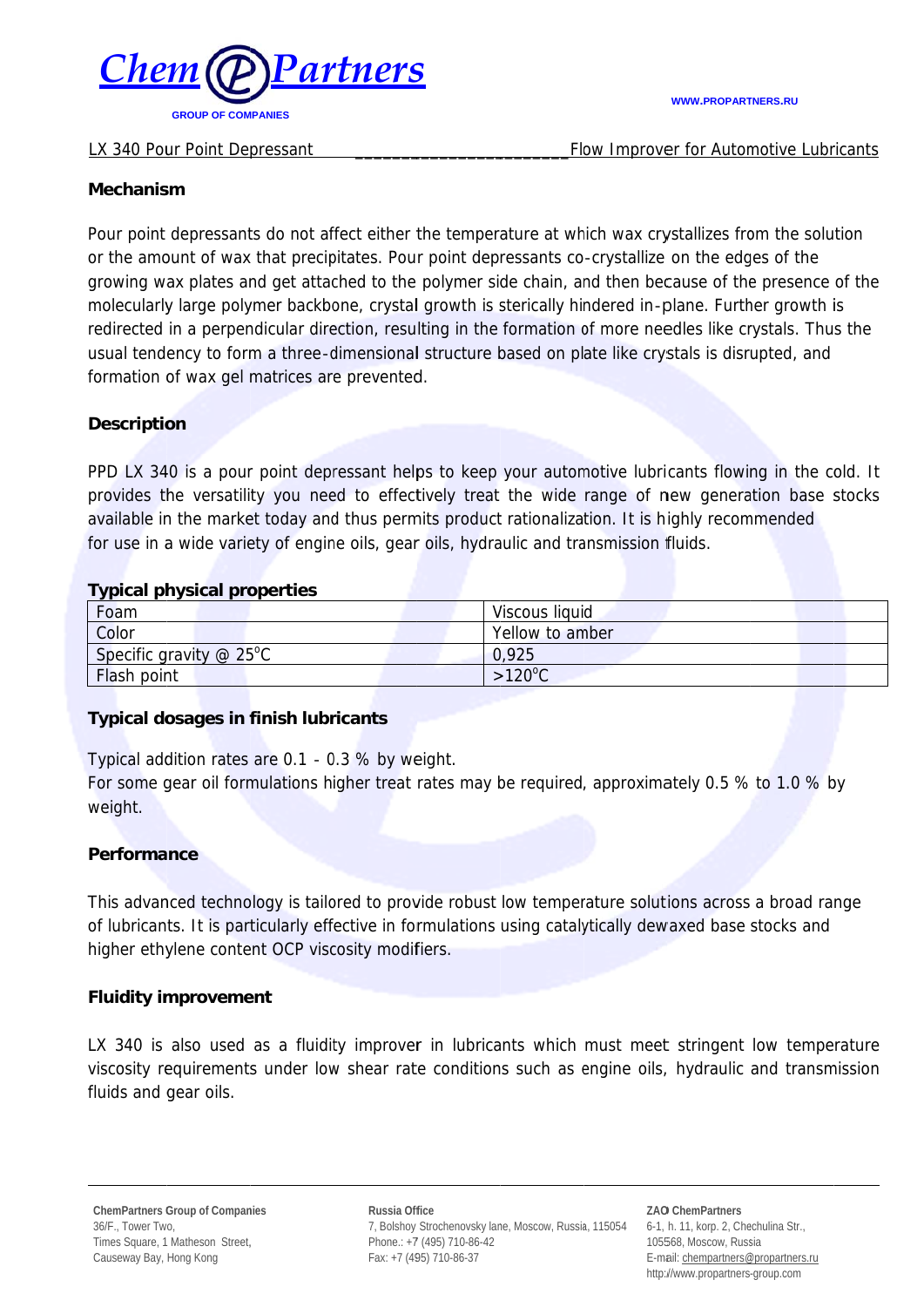

#### LX 340 Pour Point Depressant

#### **WWW.PROPARTNERS.RU**

Flow Improver for Automotive Lubricants

### **Mechanism**

Pour point depressants do not affect either the temperature at which wax crystallizes from the solution or the amount of wax that precipitates. Pour point depressants co-crystallize on the edges of the growing wax plates and get attached to the polymer side chain, and then because of the presence of the molecularly large polymer backbone, crystal growth is sterically hindered in-plane. Further growth is redirected in a perpendicular direction, resulting in the formation of more needles like crystals. Thus the usual tendency to form a three-dimensional structure based on plate like crystals is disrupted, and formation of wax gel matrices are prevented.

## **Description**

PPD LX 340 is a pour point depressant helps to keep your automotive lubricants flowing in the cold. It provides the versatility you need to effectively treat the wide range of new generation base stocks available in the market today and thus permits product rationalization. It is highly recommended for use in a wide variety of engine oils, gear oils, hydraulic and transmission fluids.

### **Tynical physical properties**

| Foam                      | Viscous liquid   |
|---------------------------|------------------|
| Color                     | Yellow to amber  |
| Specific gravity $@$ 25°C | 0,925            |
| <b>Flash point</b>        | $>120^{\circ}$ C |

### **Typical dosages in finish lubricants**

Typical addition rates are 0.1 - 0.3 % by weight.

For some gear oil formulations higher treat rates may be required, approximately 0.5 % to 1.0 % by weight.

### **Performance**

This advanced technology is tailored to provide robust low temperature solutions across a broad range of lubricants. It is particularly effective in formulations using catalytically dewaxed base stocks and higher ethylene content OCP viscosity modifiers.

### **Fluidity improvement**

LX 340 is also used as a fluidity improver in lubricants which must meet stringent low temperature viscosity requirements under low shear rate conditions such as engine oils, hydraulic and transmission fluids and gear oils.

Russia Office 7, Bolshoy Strochenovsky lane, Moscow, Russia, 115054 Phone.: +7 (495) 710-86-42 Fax: +7 (495) 710-86-37

**ZAO ChemPartners** 6-1, h. 11, korp. 2, Chechulina Str., 105568, Moscow, Russia E-mail: chempartners@propartners.ru http://www.propartners-group.com